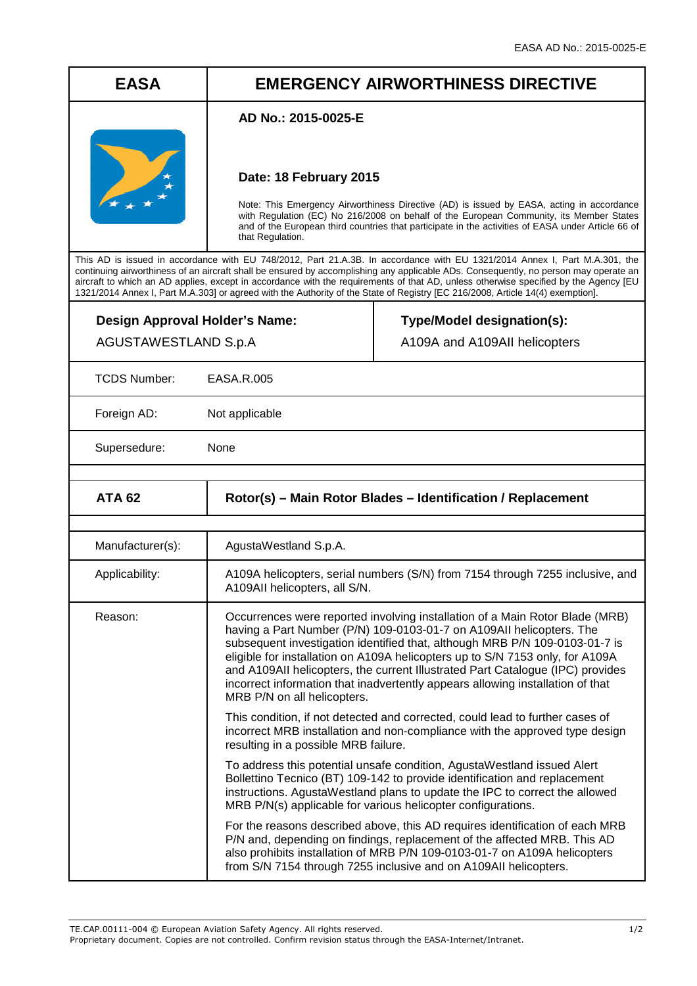## **EASA EMERGENCY AIRWORTHINESS DIRECTIVE**

## **AD No.: 2015-0025-E**



## **Date: 18 February 2015**

Note: This Emergency Airworthiness Directive (AD) is issued by EASA, acting in accordance with Regulation (EC) No 216/2008 on behalf of the European Community, its Member States and of the European third countries that participate in the activities of EASA under Article 66 of that Regulation.

This AD is issued in accordance with EU 748/2012, Part 21.A.3B. In accordance with EU 1321/2014 Annex I, Part M.A.301, the continuing airworthiness of an aircraft shall be ensured by accomplishing any applicable ADs. Consequently, no person may operate an aircraft to which an AD applies, except in accordance with the requirements of that AD, unless otherwise specified by the Agency [EU 1321/2014 Annex I, Part M.A.303] or agreed with the Authority of the State of Registry [EC 216/2008, Article 14(4) exemption].

| Design Approval Holder's Name:<br>AGUSTAWESTLAND S.p.A |                                                                                                                                                                                                                                                                                                                                                                                                                                                                                                                         | Type/Model designation(s):<br>A109A and A109AII helicopters |
|--------------------------------------------------------|-------------------------------------------------------------------------------------------------------------------------------------------------------------------------------------------------------------------------------------------------------------------------------------------------------------------------------------------------------------------------------------------------------------------------------------------------------------------------------------------------------------------------|-------------------------------------------------------------|
| <b>TCDS Number:</b>                                    | EASA.R.005                                                                                                                                                                                                                                                                                                                                                                                                                                                                                                              |                                                             |
| Foreign AD:                                            | Not applicable                                                                                                                                                                                                                                                                                                                                                                                                                                                                                                          |                                                             |
| Supersedure:                                           | None                                                                                                                                                                                                                                                                                                                                                                                                                                                                                                                    |                                                             |
|                                                        |                                                                                                                                                                                                                                                                                                                                                                                                                                                                                                                         |                                                             |
| <b>ATA 62</b>                                          | Rotor(s) - Main Rotor Blades - Identification / Replacement                                                                                                                                                                                                                                                                                                                                                                                                                                                             |                                                             |
|                                                        |                                                                                                                                                                                                                                                                                                                                                                                                                                                                                                                         |                                                             |
| Manufacturer(s):                                       | AgustaWestland S.p.A.                                                                                                                                                                                                                                                                                                                                                                                                                                                                                                   |                                                             |
| Applicability:                                         | A109A helicopters, serial numbers (S/N) from 7154 through 7255 inclusive, and<br>A109AII helicopters, all S/N.                                                                                                                                                                                                                                                                                                                                                                                                          |                                                             |
| Reason:                                                | Occurrences were reported involving installation of a Main Rotor Blade (MRB)<br>having a Part Number (P/N) 109-0103-01-7 on A109All helicopters. The<br>subsequent investigation identified that, although MRB P/N 109-0103-01-7 is<br>eligible for installation on A109A helicopters up to S/N 7153 only, for A109A<br>and A109AII helicopters, the current Illustrated Part Catalogue (IPC) provides<br>incorrect information that inadvertently appears allowing installation of that<br>MRB P/N on all helicopters. |                                                             |
|                                                        | This condition, if not detected and corrected, could lead to further cases of<br>incorrect MRB installation and non-compliance with the approved type design<br>resulting in a possible MRB failure.                                                                                                                                                                                                                                                                                                                    |                                                             |
|                                                        | To address this potential unsafe condition, AgustaWestland issued Alert<br>Bollettino Tecnico (BT) 109-142 to provide identification and replacement<br>instructions. AgustaWestland plans to update the IPC to correct the allowed<br>MRB P/N(s) applicable for various helicopter configurations.                                                                                                                                                                                                                     |                                                             |
|                                                        | For the reasons described above, this AD requires identification of each MRB<br>P/N and, depending on findings, replacement of the affected MRB. This AD<br>also prohibits installation of MRB P/N 109-0103-01-7 on A109A helicopters<br>from S/N 7154 through 7255 inclusive and on A109AII helicopters.                                                                                                                                                                                                               |                                                             |